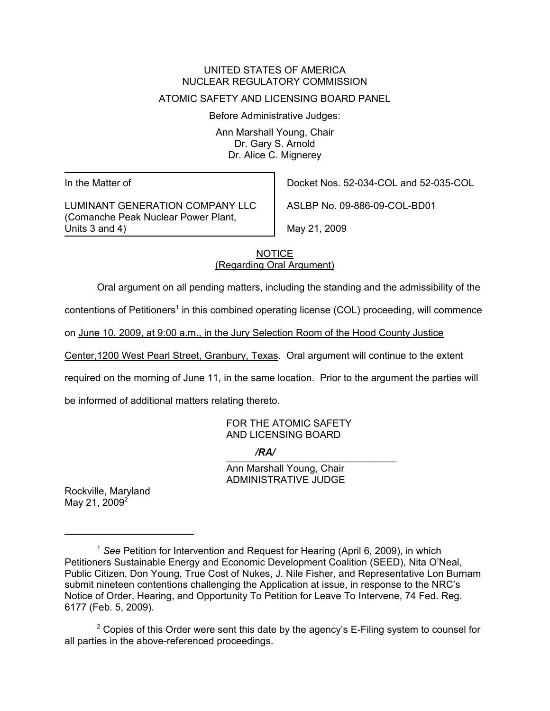#### UNITED STATES OF AMERICA NUCLEAR REGULATORY COMMISSION

### ATOMIC SAFETY AND LICENSING BOARD PANEL

Before Administrative Judges:

Ann Marshall Young, Chair Dr. Gary S. Arnold Dr. Alice C. Mignerey

In the Matter of

LUMINANT GENERATION COMPANY LLC (Comanche Peak Nuclear Power Plant, Units 3 and 4)

Docket Nos. 52-034-COL and 52-035-COL

ASLBP No. 09-886-09-COL-BD01

May 21, 2009

# NOTICE (Regarding Oral Argument)

Oral argument on all pending matters, including the standing and the admissibility of the

contentions of Petitioners<sup>1</sup> in this combined operating license (COL) proceeding, will commence

on June 10, 2009, at 9:00 a.m., in the Jury Selection Room of the Hood County Justice

Center,1200 West Pearl Street, Granbury, Texas. Oral argument will continue to the extent

required on the morning of June 11, in the same location. Prior to the argument the parties will

be informed of additional matters relating thereto.

FOR THE ATOMIC SAFETY AND LICENSING BOARD

 $\overline{X}$ */RA/*

Ann Marshall Young, Chair ADMINISTRATIVE JUDGE

Rockville, Maryland May 21,  $2009^{2}$ 

<sup>1</sup> *See* Petition for Intervention and Request for Hearing (April 6, 2009), in which Petitioners Sustainable Energy and Economic Development Coalition (SEED), Nita O'Neal, Public Citizen, Don Young, True Cost of Nukes, J. Nile Fisher, and Representative Lon Burnam submit nineteen contentions challenging the Application at issue, in response to the NRC's Notice of Order, Hearing, and Opportunity To Petition for Leave To Intervene, 74 Fed. Reg. 6177 (Feb. 5, 2009).

 $2$  Copies of this Order were sent this date by the agency's E-Filing system to counsel for all parties in the above-referenced proceedings.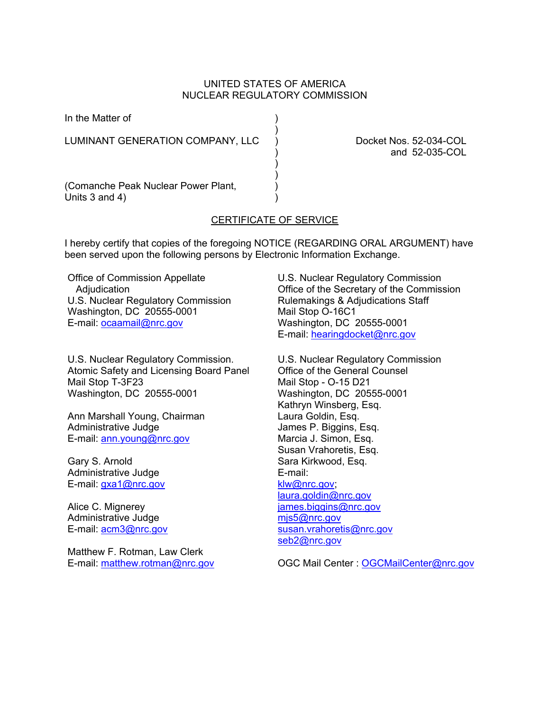### UNITED STATES OF AMERICA NUCLEAR REGULATORY COMMISSION

)

In the Matter of (1)

LUMINANT GENERATION COMPANY, LLC ) Docket Nos. 52-034-COL

 $)$ ) and the contract of  $\mathcal{L}$ 

) and 52-035-COL

(Comanche Peak Nuclear Power Plant, ) Units  $3$  and  $4$ )

# CERTIFICATE OF SERVICE

I hereby certify that copies of the foregoing NOTICE (REGARDING ORAL ARGUMENT) have been served upon the following persons by Electronic Information Exchange.

Office of Commission Appellate **Adjudication** U.S. Nuclear Regulatory Commission Washington, DC 20555-0001 E-mail: ocaamail@nrc.gov

U.S. Nuclear Regulatory Commission. Atomic Safety and Licensing Board Panel Mail Stop T-3F23 Washington, DC 20555-0001

Ann Marshall Young, Chairman Administrative Judge E-mail: ann.young@nrc.gov

Gary S. Arnold Administrative Judge E-mail: gxa1@nrc.gov

Alice C. Mignerey Administrative Judge E-mail: acm3@nrc.gov

Matthew F. Rotman, Law Clerk E-mail: matthew.rotman@nrc.gov

U.S. Nuclear Regulatory Commission Office of the Secretary of the Commission Rulemakings & Adjudications Staff Mail Stop O-16C1 Washington, DC 20555-0001 E-mail: hearingdocket@nrc.gov

U.S. Nuclear Regulatory Commission Office of the General Counsel Mail Stop - O-15 D21 Washington, DC 20555-0001 Kathryn Winsberg, Esq. Laura Goldin, Esq. James P. Biggins, Esq. Marcia J. Simon, Esq. Susan Vrahoretis, Esq. Sara Kirkwood, Esq. E-mail: klw@nrc.gov; laura.goldin@nrc.gov james.biggins@nrc.gov mjs5@nrc.gov susan.vrahoretis@nrc.gov seb2@nrc.gov

OGC Mail Center : OGCMailCenter@nrc.gov